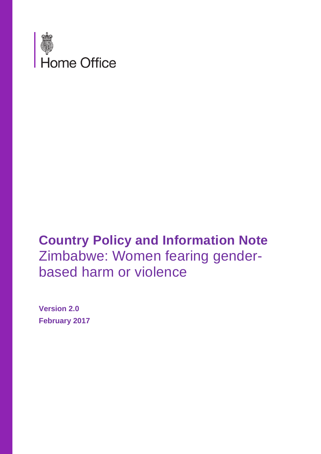

## **Country Policy and Information Note** Zimbabwe: Women fearing genderbased harm or violence

**Version 2.0 February 2017**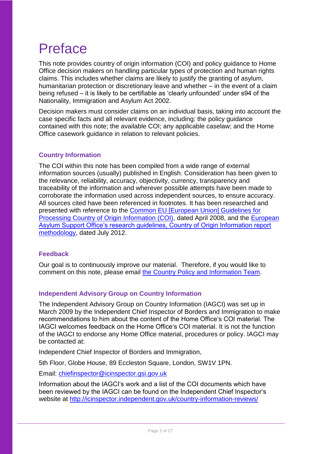## Preface

This note provides country of origin information (COI) and policy guidance to Home Office decision makers on handling particular types of protection and human rights claims. This includes whether claims are likely to justify the granting of asylum, humanitarian protection or discretionary leave and whether – in the event of a claim being refused – it is likely to be certifiable as 'clearly unfounded' under s94 of the Nationality, Immigration and Asylum Act 2002.

Decision makers must consider claims on an individual basis, taking into account the case specific facts and all relevant evidence, including: the policy guidance contained with this note; the available COI; any applicable caselaw; and the Home Office casework guidance in relation to relevant policies.

## **Country Information**

The COI within this note has been compiled from a wide range of external information sources (usually) published in English. Consideration has been given to the relevance, reliability, accuracy, objectivity, currency, transparency and traceability of the information and wherever possible attempts have been made to corroborate the information used across independent sources, to ensure accuracy. All sources cited have been referenced in footnotes. It has been researched and presented with reference to the [Common EU \[European Union\] Guidelines for](http://www.refworld.org/cgi-bin/texis/vtx/rwmain?page=search&docid=48493f7f2&skip=0&query=eu%20common%20guidelines%20on%20COi)  [Processing Country of Origin Information \(COI\),](http://www.refworld.org/cgi-bin/texis/vtx/rwmain?page=search&docid=48493f7f2&skip=0&query=eu%20common%20guidelines%20on%20COi) dated April 2008, and the [European](http://ec.europa.eu/dgs/home-affairs/what-we-do/policies/asylum/european-asylum-support-office/coireportmethodologyfinallayout_en.pdf)  [Asylum Support Office's research guidelines, Country of Origin Information report](http://ec.europa.eu/dgs/home-affairs/what-we-do/policies/asylum/european-asylum-support-office/coireportmethodologyfinallayout_en.pdf)  [methodology,](http://ec.europa.eu/dgs/home-affairs/what-we-do/policies/asylum/european-asylum-support-office/coireportmethodologyfinallayout_en.pdf) dated July 2012.

## **Feedback**

Our goal is to continuously improve our material. Therefore, if you would like to comment on this note, please email [the Country Policy and Information Team.](mailto:cois@homeoffice.gsi.gov.uk)

## **Independent Advisory Group on Country Information**

The Independent Advisory Group on Country Information (IAGCI) was set up in March 2009 by the Independent Chief Inspector of Borders and Immigration to make recommendations to him about the content of the Home Office's COI material. The IAGCI welcomes feedback on the Home Office's COI material. It is not the function of the IAGCI to endorse any Home Office material, procedures or policy. IAGCI may be contacted at:

Independent Chief Inspector of Borders and Immigration,

5th Floor, Globe House, 89 Eccleston Square, London, SW1V 1PN.

Email: [chiefinspector@icinspector.gsi.gov.uk](mailto:chiefinspector@icinspector.gsi.gov.uk)

Information about the IAGCI's work and a list of the COI documents which have been reviewed by the IAGCI can be found on the Independent Chief Inspector's website at <http://icinspector.independent.gov.uk/country-information-reviews/>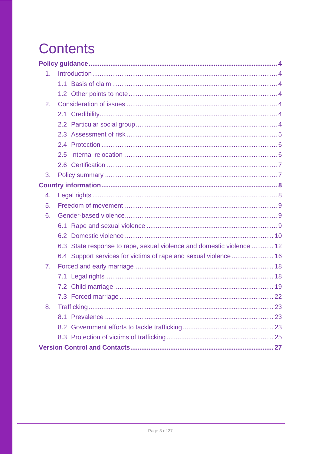# **Contents**

| 1 <sub>1</sub> |                                                                       |  |
|----------------|-----------------------------------------------------------------------|--|
|                |                                                                       |  |
|                |                                                                       |  |
| 2.             |                                                                       |  |
|                |                                                                       |  |
|                |                                                                       |  |
|                |                                                                       |  |
|                |                                                                       |  |
|                |                                                                       |  |
|                |                                                                       |  |
| 3.             |                                                                       |  |
|                |                                                                       |  |
| 4.             |                                                                       |  |
| 5.             |                                                                       |  |
| 6.             |                                                                       |  |
|                |                                                                       |  |
|                |                                                                       |  |
|                | 6.3 State response to rape, sexual violence and domestic violence  12 |  |
|                | 6.4 Support services for victims of rape and sexual violence  16      |  |
| 7 <sub>1</sub> |                                                                       |  |
|                |                                                                       |  |
|                |                                                                       |  |
|                |                                                                       |  |
| 8.             |                                                                       |  |
|                |                                                                       |  |
|                |                                                                       |  |
|                |                                                                       |  |
|                |                                                                       |  |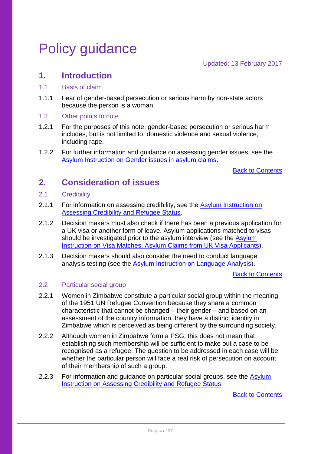## <span id="page-3-0"></span>Policy guidance

Updated: 13 February 2017

## <span id="page-3-1"></span>**1. Introduction**

- <span id="page-3-2"></span>1.1 Basis of claim
- 1.1.1 Fear of gender-based persecution or serious harm by non-state actors because the person is a woman.
- <span id="page-3-3"></span>1.2 Other points to note
- 1.2.1 For the purposes of this note, gender-based persecution or serious harm includes, but is not limited to, domestic violence and sexual violence, including rape.
- 1.2.2 For further information and guidance on assessing gender issues, see the [Asylum Instruction on Gender issues in asylum claims.](https://www.gov.uk/government/publications/gender-issue-in-the-asylum-claim-process)

[Back to Contents](#page-25-0)

## <span id="page-3-4"></span>**2. Consideration of issues**

- <span id="page-3-5"></span>2.1 Credibility
- 2.1.1 For information on assessing credibility, see the Asylum Instruction on [Assessing Credibility and Refugee Status.](https://www.gov.uk/government/publications/considering-asylum-claims-and-assessing-credibility-instruction)
- 2.1.2 Decision makers must also check if there has been a previous application for a UK visa or another form of leave. Asylum applications matched to visas should be investigated prior to the asylum interview (see the Asylum [Instruction on Visa Matches, Asylum Claims from UK Visa Applicants\)](https://www.gov.uk/government/publications/visa-matches-handling-asylum-claims-from-uk-visa-applicants-instruction).
- 2.1.3 Decision makers should also consider the need to conduct language analysis testing (see the [Asylum Instruction on Language Analysis\)](https://www.gov.uk/government/publications/language-analysis-instruction).

[Back to Contents](#page-25-0)

## <span id="page-3-6"></span>2.2 Particular social group

- 2.2.1 Women in Zimbabwe constitute a particular social group within the meaning of the 1951 UN Refugee Convention because they share a common characteristic that cannot be changed – their gender – and based on an assessment of the country information, they have a distinct identity in Zimbabwe which is perceived as being different by the surrounding society.
- 2.2.2 Although women in Zimbabwe form a PSG, this does not mean that establishing such membership will be sufficient to make out a case to be recognised as a refugee. The question to be addressed in each case will be whether the particular person will face a real risk of persecution on account of their membership of such a group.
- 2.2.3 For information and quidance on particular social groups, see the Asylum [Instruction on Assessing Credibility and Refugee Status.](https://www.gov.uk/government/publications/considering-asylum-claims-and-assessing-credibility-instruction)

[Back to Contents](#page-25-0)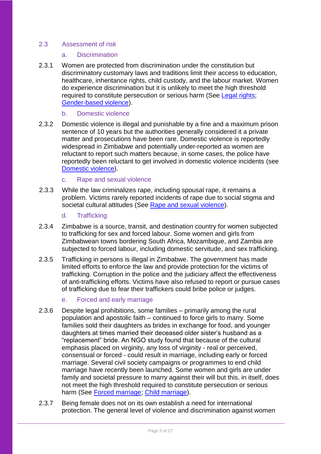## 2.3 Assessment of risk

- <span id="page-4-0"></span>a. Discrimination
- 2.3.1 Women are protected from discrimination under the constitution but discriminatory customary laws and traditions limit their access to education, healthcare, inheritance rights, child custody, and the labour market. Women do experience discrimination but it is unlikely to meet the high threshold required to constitute persecution or serious harm (See Legal rights; Gender-based violence).

#### b. Domestic violence

2.3.2 Domestic violence is illegal and punishable by a fine and a maximum prison sentence of 10 years but the authorities generally considered it a private matter and prosecutions have been rare. Domestic violence is reportedly widespread in Zimbabwe and potentially under-reported as women are reluctant to report such matters because, in some cases, the police have reportedly been reluctant to get involved in domestic violence incidents (see Domestic violence).

### c. Rape and sexual violence

2.3.3 While the law criminalizes rape, including spousal rape, it remains a problem. Victims rarely reported incidents of rape due to social stigma and societal cultural attitudes (See [Rape](#page-8-3) and sexual violence).

### d. Trafficking

- 2.3.4 Zimbabwe is a source, transit, and destination country for women subjected to trafficking for sex and forced labour. Some women and girls from Zimbabwean towns bordering South Africa, Mozambique, and Zambia are subjected to forced labour, including domestic servitude, and sex trafficking.
- 2.3.5 Trafficking in persons is illegal in Zimbabwe. The government has made limited efforts to enforce the law and provide protection for the victims of trafficking. Corruption in the police and the judiciary affect the effectiveness of anti-trafficking efforts. Victims have also refused to report or pursue cases of trafficking due to fear their traffickers could bribe police or judges.

## e. Forced and early marriage

- 2.3.6 Despite legal prohibitions, some families primarily among the rural population and apostolic faith – continued to force girls to marry. Some families sold their daughters as brides in exchange for food, and younger daughters at times married their deceased older sister's husband as a "replacement" bride. An NGO study found that because of the cultural emphasis placed on virginity, any loss of virginity - real or perceived, consensual or forced - could result in marriage, including early or forced marriage. Several civil society campaigns or programmes to end child marriage have recently been launched. Some women and girls are under family and societal pressure to marry against their will but this, in itself, does not meet the high threshold required to constitute persecution or serious harm (See Forced marriage; Child marriage).
- 2.3.7 Being female does not on its own establish a need for international protection. The general level of violence and discrimination against women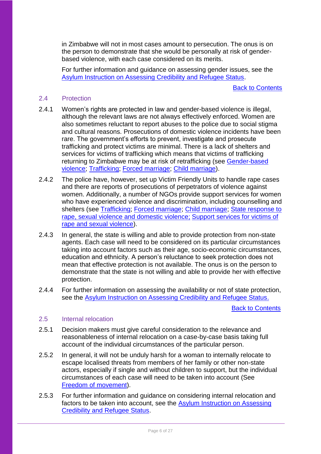in Zimbabwe will not in most cases amount to persecution. The onus is on the person to demonstrate that she would be personally at risk of genderbased violence, with each case considered on its merits.

For further information and guidance on assessing gender issues, see the [Asylum Instruction on Assessing Credibility and Refugee Status.](https://www.gov.uk/government/publications/considering-asylum-claims-and-assessing-credibility-instruction)

[Back to Contents](#page-25-0)

### <span id="page-5-0"></span>2.4 Protection

- 2.4.1 Women's rights are protected in law and gender-based violence is illegal, although the relevant laws are not always effectively enforced. Women are also sometimes reluctant to report abuses to the police due to social stigma and cultural reasons. Prosecutions of domestic violence incidents have been rare. The government's efforts to prevent, investigate and prosecute trafficking and protect victims are minimal. There is a lack of shelters and services for victims of trafficking which means that victims of trafficking returning to Zimbabwe may be at risk of retrafficking (see Gender-based violence; Trafficking; Forced marriage; Child marriage).
- 2.4.2 The police have, however, set up Victim Friendly Units to handle rape cases and there are reports of prosecutions of perpetrators of violence against women. Additionally, a number of NGOs provide support services for women who have experienced violence and discrimination, including counselling and shelters (see Trafficking; Forced marriage; Child marriage; State response to rape, sexual violence and domestic violence; Support services for victims of rape and sexual violence).
- 2.4.3 In general, the state is willing and able to provide protection from non-state agents. Each case will need to be considered on its particular circumstances taking into account factors such as their age, socio-economic circumstances, education and ethnicity. A person's reluctance to seek protection does not mean that effective protection is not available. The onus is on the person to demonstrate that the state is not willing and able to provide her with effective protection.
- 2.4.4 For further information on assessing the availability or not of state protection, see the [Asylum Instruction on Assessing Credibility and Refugee Status.](https://www.gov.uk/government/publications/considering-asylum-claims-and-assessing-credibility-instruction)

[Back to Contents](#page-25-0)

#### <span id="page-5-1"></span>2.5 Internal relocation

- 2.5.1 Decision makers must give careful consideration to the relevance and reasonableness of internal relocation on a case-by-case basis taking full account of the individual circumstances of the particular person.
- 2.5.2 In general, it will not be unduly harsh for a woman to internally relocate to escape localised threats from members of her family or other non-state actors, especially if single and without children to support, but the individual circumstances of each case will need to be taken into account (See [Freedom of movement\)](#page-8-0).
- 2.5.3 For further information and guidance on considering internal relocation and factors to be taken into account, see the [Asylum Instruction on Assessing](https://www.gov.uk/government/publications/considering-asylum-claims-and-assessing-credibility-instruction)  [Credibility and Refugee Status.](https://www.gov.uk/government/publications/considering-asylum-claims-and-assessing-credibility-instruction)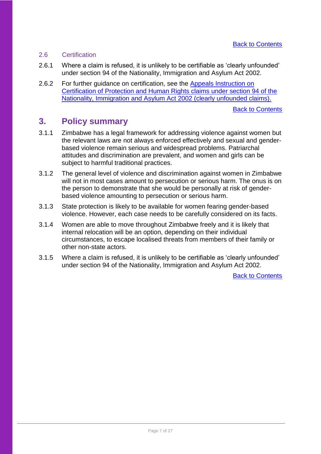## <span id="page-6-0"></span>2.6 Certification

- 2.6.1 Where a claim is refused, it is unlikely to be certifiable as 'clearly unfounded' under section 94 of the Nationality, Immigration and Asylum Act 2002.
- 2.6.2 For further guidance on certification, see the Appeals Instruction on [Certification of Protection and Human Rights claims under section 94 of the](https://www.gov.uk/government/publications/appeals)  [Nationality, Immigration and Asylum Act 2002 \(clearly unfounded claims\).](https://www.gov.uk/government/publications/appeals)

[Back to Contents](#page-25-0)

## <span id="page-6-1"></span>**3. Policy summary**

- 3.1.1 Zimbabwe has a legal framework for addressing violence against women but the relevant laws are not always enforced effectively and sexual and genderbased violence remain serious and widespread problems. Patriarchal attitudes and discrimination are prevalent, and women and girls can be subject to harmful traditional practices.
- 3.1.2 The general level of violence and discrimination against women in Zimbabwe will not in most cases amount to persecution or serious harm. The onus is on the person to demonstrate that she would be personally at risk of genderbased violence amounting to persecution or serious harm.
- 3.1.3 State protection is likely to be available for women fearing gender-based violence. However, each case needs to be carefully considered on its facts.
- 3.1.4 Women are able to move throughout Zimbabwe freely and it is likely that internal relocation will be an option, depending on their individual circumstances, to escape localised threats from members of their family or other non-state actors.
- 3.1.5 Where a claim is refused, it is unlikely to be certifiable as 'clearly unfounded' under section 94 of the Nationality, Immigration and Asylum Act 2002.

[Back to Contents](#page-25-0)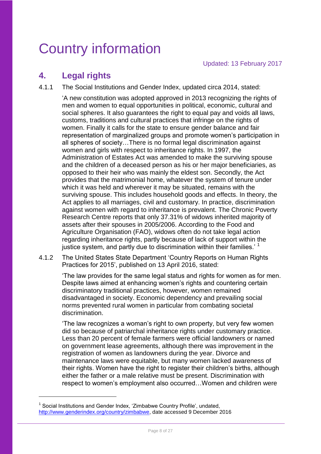## <span id="page-7-0"></span>Country information

## <span id="page-7-1"></span>**4. Legal rights**

4.1.1 The Social Institutions and Gender Index, updated circa 2014, stated:

'A new constitution was adopted approved in 2013 recognizing the rights of men and women to equal opportunities in political, economic, cultural and social spheres. It also guarantees the right to equal pay and voids all laws, customs, traditions and cultural practices that infringe on the rights of women. Finally it calls for the state to ensure gender balance and fair representation of marginalized groups and promote women's participation in all spheres of society…There is no formal legal discrimination against women and girls with respect to inheritance rights. In 1997, the Administration of Estates Act was amended to make the surviving spouse and the children of a deceased person as his or her major beneficiaries, as opposed to their heir who was mainly the eldest son. Secondly, the Act provides that the matrimonial home, whatever the system of tenure under which it was held and wherever it may be situated, remains with the surviving spouse. This includes household goods and effects. In theory, the Act applies to all marriages, civil and customary. In practice, discrimination against women with regard to inheritance is prevalent. The Chronic Poverty Research Centre reports that only 37.31% of widows inherited majority of assets after their spouses in 2005/2006. According to the Food and Agriculture Organisation (FAO), widows often do not take legal action regarding inheritance rights, partly because of lack of support within the justice system, and partly due to discrimination within their families.<sup>' 1</sup>

4.1.2 The United States State Department 'Country Reports on Human Rights Practices for 2015', published on 13 April 2016, stated:

> 'The law provides for the same legal status and rights for women as for men. Despite laws aimed at enhancing women's rights and countering certain discriminatory traditional practices, however, women remained disadvantaged in society. Economic dependency and prevailing social norms prevented rural women in particular from combating societal discrimination.

> 'The law recognizes a woman's right to own property, but very few women did so because of patriarchal inheritance rights under customary practice. Less than 20 percent of female farmers were official landowners or named on government lease agreements, although there was improvement in the registration of women as landowners during the year. Divorce and maintenance laws were equitable, but many women lacked awareness of their rights. Women have the right to register their children's births, although either the father or a male relative must be present. Discrimination with respect to women's employment also occurred…Women and children were

<sup>&</sup>lt;sup>1</sup> Social Institutions and Gender Index, 'Zimbabwe Country Profile', undated, [http://www.genderindex.org/country/zimbabwe,](http://www.genderindex.org/country/zimbabwe) date accessed 9 December 2016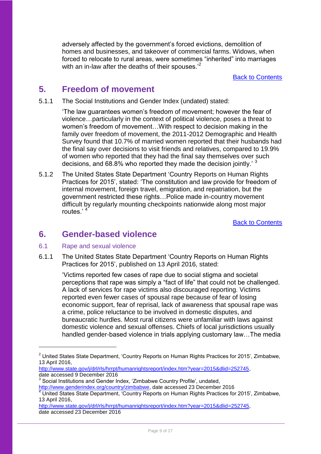adversely affected by the government's forced evictions, demolition of homes and businesses, and takeover of commercial farms. Widows, when forced to relocate to rural areas, were sometimes "inherited" into marriages with an in-law after the deaths of their spouses.<sup>2</sup>

[Back to Contents](#page-25-0)

## <span id="page-8-0"></span>**5. Freedom of movement**

5.1.1 The Social Institutions and Gender Index (undated) stated:

'The law guarantees women's freedom of movement; however the fear of violence…particularly in the context of political violence, poses a threat to women's freedom of movement…With respect to decision making in the family over freedom of movement, the 2011-2012 Demographic and Health Survey found that 10.7% of married women reported that their husbands had the final say over decisions to visit friends and relatives, compared to 19.9% of women who reported that they had the final say themselves over such decisions, and 68.8% who reported they made the decision jointly.' <sup>3</sup>

5.1.2 The United States State Department 'Country Reports on Human Rights Practices for 2015', stated: 'The constitution and law provide for freedom of internal movement, foreign travel, emigration, and repatriation, but the government restricted these rights…Police made in-country movement difficult by regularly mounting checkpoints nationwide along most major routes.'

[Back to Contents](#page-25-0)

## <span id="page-8-1"></span>**6. Gender-based violence**

<span id="page-8-3"></span><span id="page-8-2"></span>6.1 Rape and sexual violence

1

6.1.1 The United States State Department 'Country Reports on Human Rights Practices for 2015', published on 13 April 2016, stated:

> 'Victims reported few cases of rape due to social stigma and societal perceptions that rape was simply a "fact of life" that could not be challenged. A lack of services for rape victims also discouraged reporting. Victims reported even fewer cases of spousal rape because of fear of losing economic support, fear of reprisal, lack of awareness that spousal rape was a crime, police reluctance to be involved in domestic disputes, and bureaucratic hurdles. Most rural citizens were unfamiliar with laws against domestic violence and sexual offenses. Chiefs of local jurisdictions usually handled gender-based violence in trials applying customary law…The media

<sup>&</sup>lt;sup>2</sup> United States State Department, 'Country Reports on Human Rights Practices for 2015', Zimbabwe, 13 April 2016,

[http://www.state.gov/j/drl/rls/hrrpt/humanrightsreport/index.htm?year=2015&dlid=252745,](http://www.state.gov/j/drl/rls/hrrpt/humanrightsreport/index.htm?year=2015&dlid=252745) date accessed 9 December 2016

 $3$  Social Institutions and Gender Index, 'Zimbabwe Country Profile', undated,

[http://www.genderindex.org/country/zimbabwe,](http://www.genderindex.org/country/zimbabwe) date accessed 23 December 2016

<sup>4</sup> United States State Department, 'Country Reports on Human Rights Practices for 2015', Zimbabwe, 13 April 2016,

[http://www.state.gov/j/drl/rls/hrrpt/humanrightsreport/index.htm?year=2015&dlid=252745,](http://www.state.gov/j/drl/rls/hrrpt/humanrightsreport/index.htm?year=2015&dlid=252745) date accessed 23 December 2016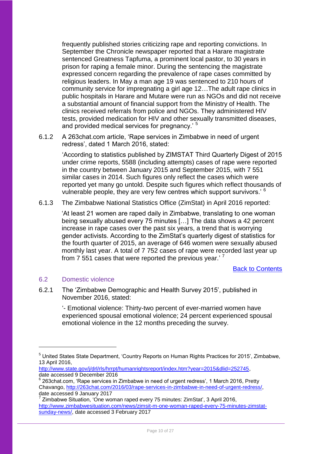frequently published stories criticizing rape and reporting convictions. In September the Chronicle newspaper reported that a Harare magistrate sentenced Greatness Tapfuma, a prominent local pastor, to 30 years in prison for raping a female minor. During the sentencing the magistrate expressed concern regarding the prevalence of rape cases committed by religious leaders. In May a man age 19 was sentenced to 210 hours of community service for impregnating a girl age 12…The adult rape clinics in public hospitals in Harare and Mutare were run as NGOs and did not receive a substantial amount of financial support from the Ministry of Health. The clinics received referrals from police and NGOs. They administered HIV tests, provided medication for HIV and other sexually transmitted diseases, and provided medical services for pregnancy.<sup>5</sup>

6.1.2 A 263chat.com article, 'Rape services in Zimbabwe in need of urgent redress', dated 1 March 2016, stated:

> 'According to statistics published by ZIMSTAT Third Quarterly Digest of 2015 under crime reports, 5588 (including attempts) cases of rape were reported in the country between January 2015 and September 2015, with 7 551 similar cases in 2014. Such figures only reflect the cases which were reported yet many go untold. Despite such figures which reflect thousands of vulnerable people, they are very few centres which support survivors.' <sup>6</sup>

6.1.3 The Zimbabwe National Statistics Office (ZimStat) in April 2016 reported:

'At least 21 women are raped daily in Zimbabwe, translating to one woman being sexually abused every 75 minutes […] The data shows a 42 percent increase in rape cases over the past six years, a trend that is worrying gender activists. According to the ZimStat's quarterly digest of statistics for the fourth quarter of 2015, an average of 646 women were sexually abused monthly last year. A total of 7 752 cases of rape were recorded last year up from 7 551 cases that were reported the previous year.'<sup>7</sup>

[Back to Contents](#page-25-0)

## <span id="page-9-0"></span>6.2 Domestic violence

1

6.2.1 The 'Zimbabwe Demographic and Health Survey 2015', published in November 2016, stated:

> '- Emotional violence: Thirty-two percent of ever-married women have experienced spousal emotional violence; 24 percent experienced spousal emotional violence in the 12 months preceding the survey.

<sup>5</sup> United States State Department, 'Country Reports on Human Rights Practices for 2015', Zimbabwe, 13 April 2016,

[http://www.state.gov/j/drl/rls/hrrpt/humanrightsreport/index.htm?year=2015&dlid=252745,](http://www.state.gov/j/drl/rls/hrrpt/humanrightsreport/index.htm?year=2015&dlid=252745) date accessed 9 December 2016

 $6$  263chat.com, 'Rape services in Zimbabwe in need of urgent redress', 1 March 2016, Pretty Chavango, [http://263chat.com/2016/03/rape-services-in-zimbabwe-in-need-of-urgent-redress/,](http://263chat.com/2016/03/rape-services-in-zimbabwe-in-need-of-urgent-redress/) date accessed 9 January 2017

 $^7$  Zimbabwe Situation, 'One woman raped every 75 minutes: ZimStat', 3 April 2016, [http://www.zimbabwesituation.com/news/zimsit-m-one-woman-raped-every-75-minutes-zimstat](http://www.zimbabwesituation.com/news/zimsit-m-one-woman-raped-every-75-minutes-zimstat-sunday-news/)[sunday-news/,](http://www.zimbabwesituation.com/news/zimsit-m-one-woman-raped-every-75-minutes-zimstat-sunday-news/) date accessed 3 February 2017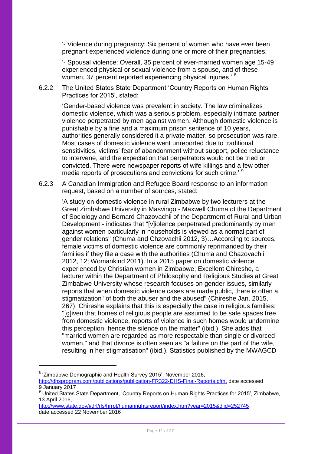'- Violence during pregnancy: Six percent of women who have ever been pregnant experienced violence during one or more of their pregnancies.

'- Spousal violence: Overall, 35 percent of ever-married women age 15-49 experienced physical or sexual violence from a spouse, and of these women, 37 percent reported experiencing physical injuries.<sup>8</sup>

6.2.2 The United States State Department 'Country Reports on Human Rights Practices for 2015', stated:

> 'Gender-based violence was prevalent in society. The law criminalizes domestic violence, which was a serious problem, especially intimate partner violence perpetrated by men against women. Although domestic violence is punishable by a fine and a maximum prison sentence of 10 years, authorities generally considered it a private matter, so prosecution was rare. Most cases of domestic violence went unreported due to traditional sensitivities, victims' fear of abandonment without support, police reluctance to intervene, and the expectation that perpetrators would not be tried or convicted. There were newspaper reports of wife killings and a few other media reports of prosecutions and convictions for such crime.<sup>9</sup>

6.2.3 A Canadian Immigration and Refugee Board response to an information request, based on a number of sources, stated:

'A study on domestic violence in rural Zimbabwe by two lecturers at the Great Zimbabwe University in Masvingo - Maxwell Chuma of the Department of Sociology and Bernard Chazovachii of the Department of Rural and Urban Development - indicates that "[v]iolence perpetrated predominantly by men against women particularly in households is viewed as a normal part of gender relations" (Chuma and Chzovachii 2012, 3)…According to sources, female victims of domestic violence are commonly reprimanded by their families if they file a case with the authorities (Chuma and Chazovachii 2012, 12; Womankind 2011). In a 2015 paper on domestic violence experienced by Christian women in Zimbabwe, Excellent Chireshe, a lecturer within the Department of Philosophy and Religious Studies at Great Zimbabwe University whose research focuses on gender issues, similarly reports that when domestic violence cases are made public, there is often a stigmatization "of both the abuser and the abused" (Chireshe Jan. 2015, 267). Chireshe explains that this is especially the case in religious families: "[g]iven that homes of religious people are assumed to be safe spaces free from domestic violence, reports of violence in such homes would undermine this perception, hence the silence on the matter" (ibid.). She adds that "married women are regarded as more respectable than single or divorced women," and that divorce is often seen as "a failure on the part of the wife, resulting in her stigmatisation" (ibid.). Statistics published by the MWAGCD

<sup>8</sup> 'Zimbabwe Demographic and Health Survey 2015', November 2016,

<u>.</u>

[http://dhsprogram.com/publications/publication-FR322-DHS-Final-Reports.cfm,](http://dhsprogram.com/publications/publication-FR322-DHS-Final-Reports.cfm) date accessed  $\frac{9}{9}$  January 2017

<sup>9</sup> United States State Department, 'Country Reports on Human Rights Practices for 2015', Zimbabwe, 13 April 2016,

[http://www.state.gov/j/drl/rls/hrrpt/humanrightsreport/index.htm?year=2015&dlid=252745,](http://www.state.gov/j/drl/rls/hrrpt/humanrightsreport/index.htm?year=2015&dlid=252745) date accessed 22 November 2016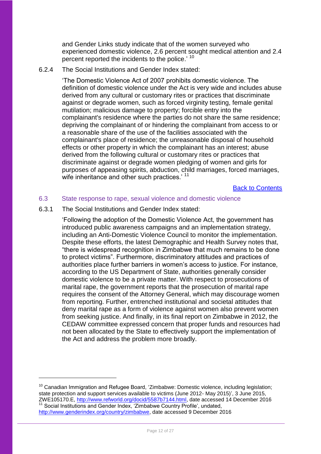and Gender Links study indicate that of the women surveyed who experienced domestic violence, 2.6 percent sought medical attention and 2.4 percent reported the incidents to the police.<sup>' 10</sup>

## 6.2.4 The Social Institutions and Gender Index stated:

'The Domestic Violence Act of 2007 prohibits domestic violence. The definition of domestic violence under the Act is very wide and includes abuse derived from any cultural or customary rites or practices that discriminate against or degrade women, such as forced virginity testing, female genital mutilation; malicious damage to property; forcible entry into the complainant's residence where the parties do not share the same residence; depriving the complainant of or hindering the complainant from access to or a reasonable share of the use of the facilities associated with the complainant's place of residence; the unreasonable disposal of household effects or other property in which the complainant has an interest; abuse derived from the following cultural or customary rites or practices that discriminate against or degrade women pledging of women and girls for purposes of appeasing spirits, abduction, child marriages, forced marriages, wife inheritance and other such practices.' <sup>11</sup>

[Back to Contents](#page-25-0)

#### <span id="page-11-0"></span>6.3 State response to rape, sexual violence and domestic violence

6.3.1 The Social Institutions and Gender Index stated:

1

'Following the adoption of the Domestic Violence Act, the government has introduced public awareness campaigns and an implementation strategy, including an Anti-Domestic Violence Council to monitor the implementation. Despite these efforts, the latest Demographic and Health Survey notes that, "there is widespread recognition in Zimbabwe that much remains to be done to protect victims". Furthermore, discriminatory attitudes and practices of authorities place further barriers in women's access to justice. For instance, according to the US Department of State, authorities generally consider domestic violence to be a private matter. With respect to prosecutions of marital rape, the government reports that the prosecution of marital rape requires the consent of the Attorney General, which may discourage women from reporting. Further, entrenched institutional and societal attitudes that deny marital rape as a form of violence against women also prevent women from seeking justice. And finally, in its final report on Zimbabwe in 2012, the CEDAW committee expressed concern that proper funds and resources had not been allocated by the State to effectively support the implementation of the Act and address the problem more broadly.

 $10$  Canadian Immigration and Refugee Board, 'Zimbabwe: Domestic violence, including legislation; state protection and support services available to victims (June 2012- May 2015)', 3 June 2015, ZWE105170.E, [http://www.refworld.org/docid/5587b7144.html,](http://www.refworld.org/docid/5587b7144.html) date accessed 14 December 2016 <sup>11</sup> Social Institutions and Gender Index, 'Zimbabwe Country Profile', undated, [http://www.genderindex.org/country/zimbabwe,](http://www.genderindex.org/country/zimbabwe) date accessed 9 December 2016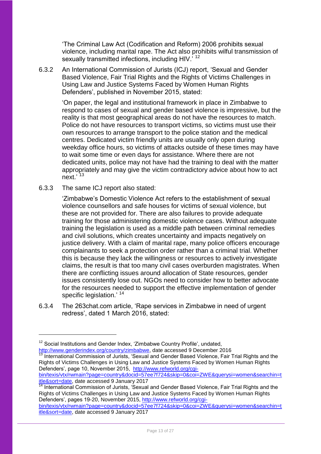'The Criminal Law Act (Codification and Reform) 2006 prohibits sexual violence, including marital rape. The Act also prohibits wilful transmission of sexually transmitted infections, including HIV.<sup>7</sup><sup>12</sup>

6.3.2 An International Commission of Jurists (ICJ) report, 'Sexual and Gender Based Violence, Fair Trial Rights and the Rights of Victims Challenges in Using Law and Justice Systems Faced by Women Human Rights Defenders', published in November 2015, stated:

> 'On paper, the legal and institutional framework in place in Zimbabwe to respond to cases of sexual and gender based violence is impressive, but the reality is that most geographical areas do not have the resources to match. Police do not have resources to transport victims, so victims must use their own resources to arrange transport to the police station and the medical centres. Dedicated victim friendly units are usually only open during weekday office hours, so victims of attacks outside of these times may have to wait some time or even days for assistance. Where there are not dedicated units, police may not have had the training to deal with the matter appropriately and may give the victim contradictory advice about how to act next.'<sup>13</sup>

6.3.3 The same ICJ report also stated:

1

'Zimbabwe's Domestic Violence Act refers to the establishment of sexual violence counsellors and safe houses for victims of sexual violence, but these are not provided for. There are also failures to provide adequate training for those administering domestic violence cases. Without adequate training the legislation is used as a middle path between criminal remedies and civil solutions, which creates uncertainty and impacts negatively on justice delivery. With a claim of marital rape, many police officers encourage complainants to seek a protection order rather than a criminal trial. Whether this is because they lack the willingness or resources to actively investigate claims, the result is that too many civil cases overburden magistrates. When there are conflicting issues around allocation of State resources, gender issues consistently lose out. NGOs need to consider how to better advocate for the resources needed to support the effective implementation of gender specific legislation.' <sup>14</sup>

6.3.4 The 263chat.com article, 'Rape services in Zimbabwe in need of urgent redress', dated 1 March 2016, stated:

International Commission of Jurists, 'Sexual and Gender Based Violence, Fair Trial Rights and the Rights of Victims Challenges in Using Law and Justice Systems Faced by Women Human Rights Defenders', page 10, November 2015, [http://www.refworld.org/cgi](http://www.refworld.org/cgi-bin/texis/vtx/rwmain?page=country&docid=57ee7f724&skip=0&coi=ZWE&querysi=women&searchin=title&sort=date)[bin/texis/vtx/rwmain?page=country&docid=57ee7f724&skip=0&coi=ZWE&querysi=women&searchin=t](http://www.refworld.org/cgi-bin/texis/vtx/rwmain?page=country&docid=57ee7f724&skip=0&coi=ZWE&querysi=women&searchin=title&sort=date)

<sup>14</sup> International Commission of Jurists, 'Sexual and Gender Based Violence, Fair Trial Rights and the Rights of Victims Challenges in Using Law and Justice Systems Faced by Women Human Rights Defenders', pages 19-20, November 2015, [http://www.refworld.org/cgi](http://www.refworld.org/cgi-bin/texis/vtx/rwmain?page=country&docid=57ee7f724&skip=0&coi=ZWE&querysi=women&searchin=title&sort=date)[bin/texis/vtx/rwmain?page=country&docid=57ee7f724&skip=0&coi=ZWE&querysi=women&searchin=t](http://www.refworld.org/cgi-bin/texis/vtx/rwmain?page=country&docid=57ee7f724&skip=0&coi=ZWE&querysi=women&searchin=title&sort=date)

 $12$  Social Institutions and Gender Index, 'Zimbabwe Country Profile', undated, [http://www.genderindex.org/country/zimbabwe,](http://www.genderindex.org/country/zimbabwe) date accessed 9 December 2016

[itle&sort=date,](http://www.refworld.org/cgi-bin/texis/vtx/rwmain?page=country&docid=57ee7f724&skip=0&coi=ZWE&querysi=women&searchin=title&sort=date) date accessed 9 January 2017

[itle&sort=date,](http://www.refworld.org/cgi-bin/texis/vtx/rwmain?page=country&docid=57ee7f724&skip=0&coi=ZWE&querysi=women&searchin=title&sort=date) date accessed 9 January 2017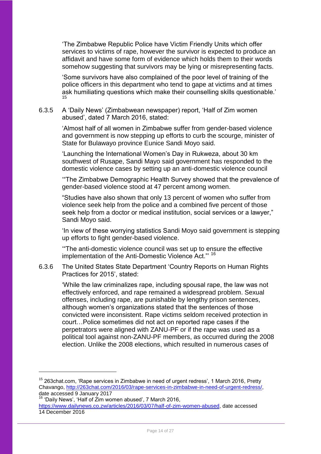'The Zimbabwe Republic Police have Victim Friendly Units which offer services to victims of rape, however the survivor is expected to produce an affidavit and have some form of evidence which holds them to their words somehow suggesting that survivors may be lying or misrepresenting facts.

'Some survivors have also complained of the poor level of training of the police officers in this department who tend to gape at victims and at times ask humiliating questions which make their counselling skills questionable.' 15

### 6.3.5 A 'Daily News' (Zimbabwean newspaper) report, 'Half of Zim women abused', dated 7 March 2016, stated:

'Almost half of all women in Zimbabwe suffer from gender-based violence and government is now stepping up efforts to curb the scourge, minister of State for Bulawayo province Eunice Sandi Moyo said.

'Launching the International Women's Day in Rukweza, about 30 km southwest of Rusape, Sandi Mayo said government has responded to the domestic violence cases by setting up an anti-domestic violence council

'"The Zimbabwe Demographic Health Survey showed that the prevalence of gender-based violence stood at 47 percent among women.

"Studies have also shown that only 13 percent of women who suffer from violence seek help from the police and a combined five percent of those seek help from a doctor or medical institution, social services or a lawyer," Sandi Moyo said.

'In view of these worrying statistics Sandi Moyo said government is stepping up efforts to fight gender-based violence.

'"The anti-domestic violence council was set up to ensure the effective implementation of the Anti-Domestic Violence Act."' <sup>16</sup>

6.3.6 The United States State Department 'Country Reports on Human Rights Practices for 2015', stated:

> 'While the law criminalizes rape, including spousal rape, the law was not effectively enforced, and rape remained a widespread problem. Sexual offenses, including rape, are punishable by lengthy prison sentences, although women's organizations stated that the sentences of those convicted were inconsistent. Rape victims seldom received protection in court…Police sometimes did not act on reported rape cases if the perpetrators were aligned with ZANU-PF or if the rape was used as a political tool against non-ZANU-PF members, as occurred during the 2008 election. Unlike the 2008 elections, which resulted in numerous cases of

 $15$  263chat.com, 'Rape services in Zimbabwe in need of urgent redress', 1 March 2016, Pretty Chavango, [http://263chat.com/2016/03/rape-services-in-zimbabwe-in-need-of-urgent-redress/,](http://263chat.com/2016/03/rape-services-in-zimbabwe-in-need-of-urgent-redress/) date accessed 9 January 2017

 $16$  'Daily News', 'Half of  $\frac{1}{2}$  im women abused', 7 March 2016,

[https://www.dailynews.co.zw/articles/2016/03/07/half-of-zim-women-abused,](https://www.dailynews.co.zw/articles/2016/03/07/half-of-zim-women-abused) date accessed 14 December 2016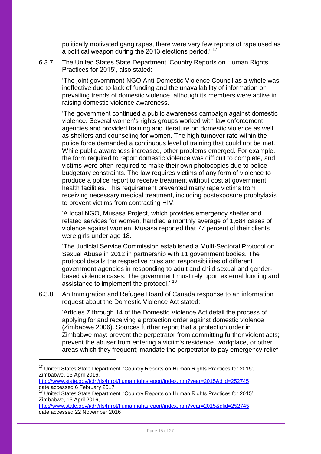politically motivated gang rapes, there were very few reports of rape used as a political weapon during the 2013 elections period.' <sup>17</sup>

6.3.7 The United States State Department 'Country Reports on Human Rights Practices for 2015', also stated:

> 'The joint government-NGO Anti-Domestic Violence Council as a whole was ineffective due to lack of funding and the unavailability of information on prevailing trends of domestic violence, although its members were active in raising domestic violence awareness.

> 'The government continued a public awareness campaign against domestic violence. Several women's rights groups worked with law enforcement agencies and provided training and literature on domestic violence as well as shelters and counseling for women. The high turnover rate within the police force demanded a continuous level of training that could not be met. While public awareness increased, other problems emerged. For example, the form required to report domestic violence was difficult to complete, and victims were often required to make their own photocopies due to police budgetary constraints. The law requires victims of any form of violence to produce a police report to receive treatment without cost at government health facilities. This requirement prevented many rape victims from receiving necessary medical treatment, including postexposure prophylaxis to prevent victims from contracting HIV.

'A local NGO, Musasa Project, which provides emergency shelter and related services for women, handled a monthly average of 1,684 cases of violence against women. Musasa reported that 77 percent of their clients were girls under age 18.

'The Judicial Service Commission established a Multi-Sectoral Protocol on Sexual Abuse in 2012 in partnership with 11 government bodies. The protocol details the respective roles and responsibilities of different government agencies in responding to adult and child sexual and genderbased violence cases. The government must rely upon external funding and assistance to implement the protocol.<sup>' 18</sup>

6.3.8 An Immigration and Refugee Board of Canada response to an information request about the Domestic Violence Act stated:

'Articles 7 through 14 of the Domestic Violence Act detail the process of applying for and receiving a protection order against domestic violence (Zimbabwe 2006). Sources further report that a protection order in Zimbabwe may: prevent the perpetrator from committing further violent acts; prevent the abuser from entering a victim's residence, workplace, or other areas which they frequent; mandate the perpetrator to pay emergency relief

1

http://www.state.gov/j/drl/rls/hrrpt/humanrightsreport/index.htm?year=2015&dlid=252745 date accessed 6 February 2017

<sup>&</sup>lt;sup>17</sup> United States State Department, 'Country Reports on Human Rights Practices for 2015', Zimbabwe, 13 April 2016,

<sup>&</sup>lt;sup>18</sup> United States State Department, 'Country Reports on Human Rights Practices for 2015', Zimbabwe, 13 April 2016,

[http://www.state.gov/j/drl/rls/hrrpt/humanrightsreport/index.htm?year=2015&dlid=252745,](http://www.state.gov/j/drl/rls/hrrpt/humanrightsreport/index.htm?year=2015&dlid=252745) date accessed 22 November 2016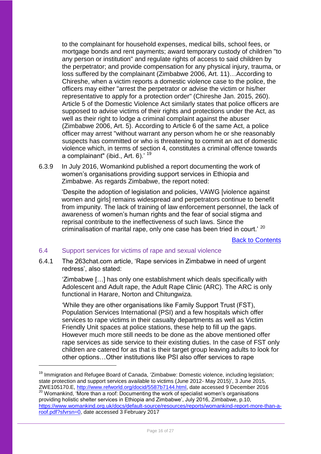to the complainant for household expenses, medical bills, school fees, or mortgage bonds and rent payments; award temporary custody of children "to any person or institution" and regulate rights of access to said children by the perpetrator; and provide compensation for any physical injury, trauma, or loss suffered by the complainant (Zimbabwe 2006, Art. 11)…According to Chireshe, when a victim reports a domestic violence case to the police, the officers may either "arrest the perpetrator or advise the victim or his/her representative to apply for a protection order" (Chireshe Jan. 2015, 260). Article 5 of the Domestic Violence Act similarly states that police officers are supposed to advise victims of their rights and protections under the Act, as well as their right to lodge a criminal complaint against the abuser (Zimbabwe 2006, Art. 5). According to Article 6 of the same Act, a police officer may arrest "without warrant any person whom he or she reasonably suspects has committed or who is threatening to commit an act of domestic violence which, in terms of section 4, constitutes a criminal offence towards a complainant" (ibid., Art. 6).' <sup>19</sup>

6.3.9 In July 2016, Womankind published a report documenting the work of women's organisations providing support services in Ethiopia and Zimbabwe. As regards Zimbabwe, the report noted:

> 'Despite the adoption of legislation and policies, VAWG [violence against women and girls] remains widespread and perpetrators continue to benefit from impunity. The lack of training of law enforcement personnel, the lack of awareness of women's human rights and the fear of social stigma and reprisal contribute to the ineffectiveness of such laws. Since the criminalisation of marital rape, only one case has been tried in court.' <sup>20</sup>

> > [Back to Contents](#page-25-0)

## <span id="page-15-0"></span>6.4 Support services for victims of rape and sexual violence

<u>.</u>

6.4.1 The 263chat.com article, 'Rape services in Zimbabwe in need of urgent redress', also stated:

> 'Zimbabwe […] has only one establishment which deals specifically with Adolescent and Adult rape, the Adult Rape Clinic (ARC). The ARC is only functional in Harare, Norton and Chitungwiza.

'While they are other organisations like Family Support Trust (FST), Population Services International (PSI) and a few hospitals which offer services to rape victims in their casualty departments as well as Victim Friendly Unit spaces at police stations, these help to fill up the gaps. However much more still needs to be done as the above mentioned offer rape services as side service to their existing duties. In the case of FST only children are catered for as that is their target group leaving adults to look for other options…Other institutions like PSI also offer services to rape

 $19$  Immigration and Refugee Board of Canada, 'Zimbabwe: Domestic violence, including legislation; state protection and support services available to victims (June 2012- May 2015)', 3 June 2015, ZWE105170.E, [http://www.refworld.org/docid/5587b7144.html,](http://www.refworld.org/docid/5587b7144.html) date accessed 9 December 2016

<sup>&</sup>lt;sup>20</sup> Womankind, 'More than a roof: Documenting the work of specialist women's organisations providing holistic shelter services in Ethiopia and Zimbabwe', July 2016, Zimbabwe, p.10, [https://www.womankind.org.uk/docs/default-source/resources/reports/womankind-report-more-than-a](https://www.womankind.org.uk/docs/default-source/resources/reports/womankind-report-more-than-a-roof.pdf?sfvrsn=0)[roof.pdf?sfvrsn=0,](https://www.womankind.org.uk/docs/default-source/resources/reports/womankind-report-more-than-a-roof.pdf?sfvrsn=0) date accessed 3 February 2017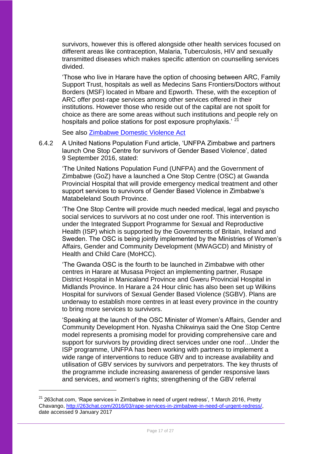survivors, however this is offered alongside other health services focused on different areas like contraception, Malaria, Tuberculosis, HIV and sexually transmitted diseases which makes specific attention on counselling services divided.

'Those who live in Harare have the option of choosing between ARC, Family Support Trust, hospitals as well as Medecins Sans Frontiers/Doctors without Borders (MSF) located in Mbare and Epworth. These, with the exception of ARC offer post-rape services among other services offered in their institutions. However those who reside out of the capital are not spoilt for choice as there are some areas without such institutions and people rely on hospitals and police stations for post exposure prophylaxis.<sup>' 21</sup>

See also [Zimbabwe Domestic Violence Act](http://www.ilo.org/dyn/natlex/natlex4.detail?p_lang=en&p_isn=85410&p_country=ZWE&p_count=432)

6.4.2 A United Nations Population Fund article, 'UNFPA Zimbabwe and partners launch One Stop Centre for survivors of Gender Based Violence', dated 9 September 2016, stated:

'The United Nations Population Fund (UNFPA) and the Government of Zimbabwe (GoZ) have a launched a One Stop Centre (OSC) at Gwanda Provincial Hospital that will provide emergency medical treatment and other support services to survivors of Gender Based Violence in Zimbabwe's Matabeleland South Province.

'The One Stop Centre will provide much needed medical, legal and psyscho social services to survivors at no cost under one roof. This intervention is under the Integrated Support Programme for Sexual and Reproductive Health (ISP) which is supported by the Governments of Britain, Ireland and Sweden. The OSC is being jointly implemented by the Ministries of Women's Affairs, Gender and Community Development (MWAGCD) and Ministry of Health and Child Care (MoHCC).

'The Gwanda OSC is the fourth to be launched in Zimbabwe with other centres in Harare at Musasa Project an implementing partner, Rusape District Hospital in Manicaland Province and Gweru Provincial Hospital in Midlands Province. In Harare a 24 Hour clinic has also been set up Wilkins Hospital for survivors of Sexual Gender Based Violence (SGBV). Plans are underway to establish more centres in at least every province in the country to bring more services to survivors.

'Speaking at the launch of the OSC Minister of Women's Affairs, Gender and Community Development Hon. Nyasha Chikwinya said the One Stop Centre model represents a promising model for providing comprehensive care and support for survivors by providing direct services under one roof…Under the ISP programme, UNFPA has been working with partners to implement a wide range of interventions to reduce GBV and to increase availability and utilisation of GBV services by survivors and perpetrators. The key thrusts of the programme include increasing awareness of gender responsive laws and services, and women's rights; strengthening of the GBV referral

 $21$  263chat.com, 'Rape services in Zimbabwe in need of urgent redress', 1 March 2016, Pretty Chavango, [http://263chat.com/2016/03/rape-services-in-zimbabwe-in-need-of-urgent-redress/,](http://263chat.com/2016/03/rape-services-in-zimbabwe-in-need-of-urgent-redress/) date accessed 9 January 2017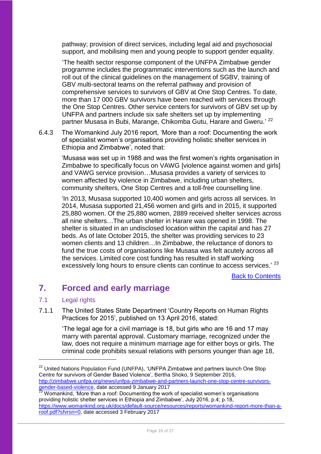pathway; provision of direct services, including legal aid and psychosocial support, and mobilising men and young people to support gender equality.

'The health sector response component of the UNFPA Zimbabwe gender programme includes the programmatic interventions such as the launch and roll out of the clinical guidelines on the management of SGBV, training of GBV multi-sectoral teams on the referral pathway and provision of comprehensive services to survivors of GBV at One Stop Centres. To date, more than 17 000 GBV survivors have been reached with services through the One Stop Centres. Other service centers for survivors of GBV set up by UNFPA and partners include six safe shelters set up by implementing partner Musasa in Bubi, Marange, Chikomba Gutu, Harare and Gweru.'<sup>22</sup>

6.4.3 The Womankind July 2016 report, 'More than a roof: Documenting the work of specialist women's organisations providing holistic shelter services in Ethiopia and Zimbabwe', noted that:

'Musasa was set up in 1988 and was the first women's rights organisation in Zimbabwe to specifically focus on VAWG [violence against women and girls] and VAWG service provision…Musasa provides a variety of services to women affected by violence in Zimbabwe, including urban shelters, community shelters, One Stop Centres and a toll-free counselling line.

'In 2013, Musasa supported 10,400 women and girls across all services. In 2014, Musasa supported 21,456 women and girls and in 2015, it supported 25,880 women. Of the 25,880 women, 2889 received shelter services across all nine shelters…The urban shelter in Harare was opened in 1998. The shelter is situated in an undisclosed location within the capital and has 27 beds. As of late October 2015, the shelter was providing services to 23 women clients and 13 children…In Zimbabwe, the reluctance of donors to fund the true costs of organisations like Musasa was felt acutely across all the services. Limited core cost funding has resulted in staff working excessively long hours to ensure clients can continue to access services.' 23

[Back to Contents](#page-25-0)

## <span id="page-17-0"></span>**7. Forced and early marriage**

## <span id="page-17-1"></span>7.1 Legal rights

1

7.1.1 The United States State Department 'Country Reports on Human Rights Practices for 2015', published on 13 April 2016, stated:

> 'The legal age for a civil marriage is 18, but girls who are 16 and 17 may marry with parental approval. Customary marriage, recognized under the law, does not require a minimum marriage age for either boys or girls. The criminal code prohibits sexual relations with persons younger than age 18,

<sup>&</sup>lt;sup>22</sup> United Nations Population Fund (UNFPA), 'UNFPA Zimbabwe and partners launch One Stop Centre for survivors of Gender Based Violence', Bertha Shoko, 9 September 2016, [http://zimbabwe.unfpa.org/news/unfpa-zimbabwe-and-partners-launch-one-stop-centre-survivors](http://zimbabwe.unfpa.org/news/unfpa-zimbabwe-and-partners-launch-one-stop-centre-survivors-gender-based-violence)[gender-based-violence,](http://zimbabwe.unfpa.org/news/unfpa-zimbabwe-and-partners-launch-one-stop-centre-survivors-gender-based-violence) date accessed 9 January 2017

 $^{23}$  Womankind, 'More than a roof: Documenting the work of specialist women's organisations providing holistic shelter services in Ethiopia and Zimbabwe', July 2016, p.4; p.18, [https://www.womankind.org.uk/docs/default-source/resources/reports/womankind-report-more-than-a](https://www.womankind.org.uk/docs/default-source/resources/reports/womankind-report-more-than-a-roof.pdf?sfvrsn=0)[roof.pdf?sfvrsn=0,](https://www.womankind.org.uk/docs/default-source/resources/reports/womankind-report-more-than-a-roof.pdf?sfvrsn=0) date accessed 3 February 2017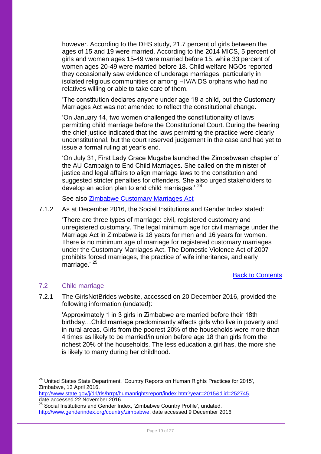however. According to the DHS study, 21.7 percent of girls between the ages of 15 and 19 were married. According to the 2014 MICS, 5 percent of girls and women ages 15-49 were married before 15, while 33 percent of women ages 20-49 were married before 18. Child welfare NGOs reported they occasionally saw evidence of underage marriages, particularly in isolated religious communities or among HIV/AIDS orphans who had no relatives willing or able to take care of them.

'The constitution declares anyone under age 18 a child, but the Customary Marriages Act was not amended to reflect the constitutional change.

'On January 14, two women challenged the constitutionality of laws permitting child marriage before the Constitutional Court. During the hearing the chief justice indicated that the laws permitting the practice were clearly unconstitutional, but the court reserved judgement in the case and had yet to issue a formal ruling at year's end.

'On July 31, First Lady Grace Mugabe launched the Zimbabwean chapter of the AU Campaign to End Child Marriages. She called on the minister of justice and legal affairs to align marriage laws to the constitution and suggested stricter penalties for offenders. She also urged stakeholders to develop an action plan to end child marriages.' <sup>24</sup>

See also [Zimbabwe Customary Marriages Act](https://cyber.harvard.edu/population/zimbabwe/customary.htm)

7.1.2 As at December 2016, the Social Institutions and Gender Index stated:

'There are three types of marriage: civil, registered customary and unregistered customary. The legal minimum age for civil marriage under the Marriage Act in Zimbabwe is 18 years for men and 16 years for women. There is no minimum age of marriage for registered customary marriages under the Customary Marriages Act. The Domestic Violence Act of 2007 prohibits forced marriages, the practice of wife inheritance, and early marriage.' 25

[Back to Contents](#page-25-0)

## <span id="page-18-0"></span>7.2 Child marriage

1

7.2.1 The GirlsNotBrides website, accessed on 20 December 2016, provided the following information (undated):

'Approximately 1 in 3 girls in Zimbabwe are married before their 18th birthday…Child marriage predominantly affects girls who live in poverty and in rural areas. Girls from the poorest 20% of the households were more than 4 times as likely to be married/in union before age 18 than girls from the richest 20% of the households. The less education a girl has, the more she is likely to marry during her childhood.

<sup>&</sup>lt;sup>24</sup> United States State Department, 'Country Reports on Human Rights Practices for 2015'. Zimbabwe, 13 April 2016,

[http://www.state.gov/j/drl/rls/hrrpt/humanrightsreport/index.htm?year=2015&dlid=252745,](http://www.state.gov/j/drl/rls/hrrpt/humanrightsreport/index.htm?year=2015&dlid=252745) date accessed 22 November 2016

<sup>25</sup> Social Institutions and Gender Index, 'Zimbabwe Country Profile', undated, [http://www.genderindex.org/country/zimbabwe,](http://www.genderindex.org/country/zimbabwe) date accessed 9 December 2016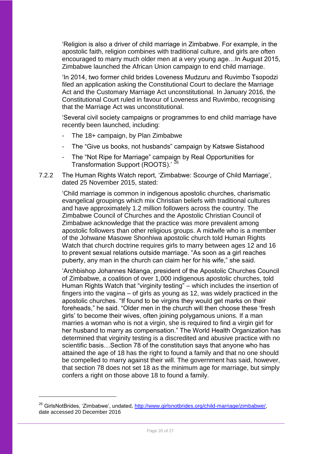'Religion is also a driver of child marriage in Zimbabwe. For example, in the apostolic faith, religion combines with traditional culture, and girls are often encouraged to marry much older men at a very young age…In August 2015, Zimbabwe launched the African Union campaign to end child marriage.

'In 2014, two former child brides Loveness Mudzuru and Ruvimbo Tsopodzi filed an application asking the Constitutional Court to declare the Marriage Act and the Customary Marriage Act unconstitutional. In January 2016, the Constitutional Court ruled in favour of Loveness and Ruvimbo, recognising that the Marriage Act was unconstitutional.

'Several civil society campaigns or programmes to end child marriage have recently been launched, including:

- The 18+ campaign, by Plan Zimbabwe
- The "Give us books, not husbands" campaign by Katswe Sistahood
- The "Not Ripe for Marriage" campaign by Real Opportunities for Transformation Support (ROOTS).' <sup>26</sup>
- 7.2.2 The Human Rights Watch report, 'Zimbabwe: Scourge of Child Marriage', dated 25 November 2015, stated:

'Child marriage is common in indigenous apostolic churches, charismatic evangelical groupings which mix Christian beliefs with traditional cultures and have approximately 1.2 million followers across the country. The Zimbabwe Council of Churches and the Apostolic Christian Council of Zimbabwe acknowledge that the practice was more prevalent among apostolic followers than other religious groups. A midwife who is a member of the Johwane Masowe Shonhiwa apostolic church told Human Rights Watch that church doctrine requires girls to marry between ages 12 and 16 to prevent sexual relations outside marriage. "As soon as a girl reaches puberty, any man in the church can claim her for his wife," she said.

'Archbishop Johannes Ndanga, president of the Apostolic Churches Council of Zimbabwe, a coalition of over 1,000 indigenous apostolic churches, told Human Rights Watch that "virginity testing" – which includes the insertion of fingers into the vagina – of girls as young as 12, was widely practiced in the apostolic churches. "If found to be virgins they would get marks on their foreheads," he said. "Older men in the church will then choose these 'fresh girls' to become their wives, often joining polygamous unions. If a man marries a woman who is not a virgin, she is required to find a virgin girl for her husband to marry as compensation." The World Health Organization has determined that virginity testing is a discredited and abusive practice with no scientific basis…Section 78 of the constitution says that anyone who has attained the age of 18 has the right to found a family and that no one should be compelled to marry against their will. The government has said, however, that section 78 does not set 18 as the minimum age for marriage, but simply confers a right on those above 18 to found a family.

<sup>&</sup>lt;sup>26</sup> GirlsNotBrides, 'Zimbabwe', undated, [http://www.girlsnotbrides.org/child-marriage/zimbabwe/,](http://www.girlsnotbrides.org/child-marriage/zimbabwe/) date accessed 20 December 2016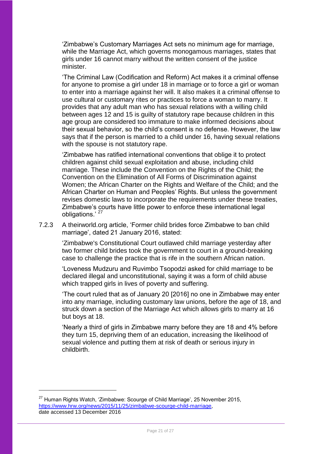'Zimbabwe's Customary Marriages Act sets no minimum age for marriage, while the Marriage Act, which governs monogamous marriages, states that girls under 16 cannot marry without the written consent of the justice minister.

'The Criminal Law (Codification and Reform) Act makes it a criminal offense for anyone to promise a girl under 18 in marriage or to force a girl or woman to enter into a marriage against her will. It also makes it a criminal offense to use cultural or customary rites or practices to force a woman to marry. It provides that any adult man who has sexual relations with a willing child between ages 12 and 15 is guilty of statutory rape because children in this age group are considered too immature to make informed decisions about their sexual behavior, so the child's consent is no defense. However, the law says that if the person is married to a child under 16, having sexual relations with the spouse is not statutory rape.

'Zimbabwe has ratified international conventions that oblige it to protect children against child sexual exploitation and abuse, including child marriage. These include the Convention on the Rights of the Child; the Convention on the Elimination of All Forms of Discrimination against Women; the African Charter on the Rights and Welfare of the Child; and the African Charter on Human and Peoples' Rights. But unless the government revises domestic laws to incorporate the requirements under these treaties, Zimbabwe's courts have little power to enforce these international legal obligations.' <sup>27</sup>

7.2.3 A theirworld.org article, 'Former child brides force Zimbabwe to ban child marriage', dated 21 January 2016, stated:

> 'Zimbabwe's Constitutional Court outlawed child marriage yesterday after two former child brides took the government to court in a ground-breaking case to challenge the practice that is rife in the southern African nation.

> 'Loveness Mudzuru and Ruvimbo Tsopodzi asked for child marriage to be declared illegal and unconstitutional, saying it was a form of child abuse which trapped girls in lives of poverty and suffering.

'The court ruled that as of January 20 [2016] no one in Zimbabwe may enter into any marriage, including customary law unions, before the age of 18, and struck down a section of the Marriage Act which allows girls to marry at 16 but boys at 18.

'Nearly a third of girls in Zimbabwe marry before they are 18 and 4% before they turn 15, depriving them of an education, increasing the likelihood of sexual violence and putting them at risk of death or serious injury in childbirth.

 $27$  Human Rights Watch, 'Zimbabwe: Scourge of Child Marriage', 25 November 2015, [https://www.hrw.org/news/2015/11/25/zimbabwe-scourge-child-marriage,](https://www.hrw.org/news/2015/11/25/zimbabwe-scourge-child-marriage) date accessed 13 December 2016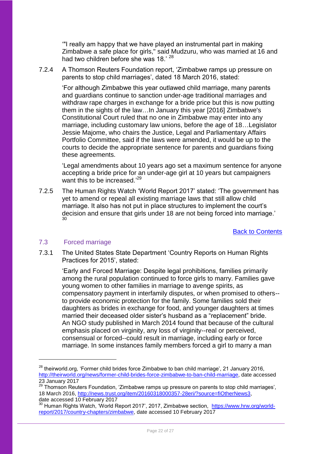'"I really am happy that we have played an instrumental part in making Zimbabwe a safe place for girls," said Mudzuru, who was married at 16 and had two children before she was 18.'<sup>28</sup>

7.2.4 A Thomson Reuters Foundation report, 'Zimbabwe ramps up pressure on parents to stop child marriages', dated 18 March 2016, stated:

'For although Zimbabwe this year outlawed child marriage, many parents and guardians continue to sanction under-age traditional marriages and withdraw rape charges in exchange for a bride price but this is now putting them in the sights of the law…In January this year [2016] Zimbabwe's Constitutional Court ruled that no one in Zimbabwe may enter into any marriage, including customary law unions, before the age of 18…Legislator Jessie Majome, who chairs the Justice, Legal and Parliamentary Affairs Portfolio Committee, said if the laws were amended, it would be up to the courts to decide the appropriate sentence for parents and guardians fixing these agreements.

'Legal amendments about 10 years ago set a maximum sentence for anyone accepting a bride price for an under-age girl at 10 years but campaigners want this to be increased.<sup>'29</sup>

7.2.5 The Human Rights Watch 'World Report 2017' stated: 'The government has yet to amend or repeal all existing marriage laws that still allow child marriage. It also has not put in place structures to implement the court's decision and ensure that girls under 18 are not being forced into marriage.' 30

[Back to Contents](#page-25-0)

## <span id="page-21-0"></span>7.3 Forced marriage

1

7.3.1 The United States State Department 'Country Reports on Human Rights Practices for 2015', stated:

> 'Early and Forced Marriage: Despite legal prohibitions, families primarily among the rural population continued to force girls to marry. Families gave young women to other families in marriage to avenge spirits, as compensatory payment in interfamily disputes, or when promised to others- to provide economic protection for the family. Some families sold their daughters as brides in exchange for food, and younger daughters at times married their deceased older sister's husband as a "replacement" bride. An NGO study published in March 2014 found that because of the cultural emphasis placed on virginity, any loss of virginity--real or perceived, consensual or forced--could result in marriage, including early or force marriage. In some instances family members forced a girl to marry a man

<sup>&</sup>lt;sup>28</sup> theirworld.org, 'Former child brides force Zimbabwe to ban child marriage', 21 January 2016, [http://theirworld.org/news/former-child-brides-force-zimbabwe-to-ban-child-marriage,](http://theirworld.org/news/former-child-brides-force-zimbabwe-to-ban-child-marriage) date accessed 23 January 2017

<sup>&</sup>lt;sup>29</sup> Thomson Reuters Foundation, 'Zimbabwe ramps up pressure on parents to stop child marriages', 18 March 2016, [http://news.trust.org/item/20160318000357-28eri/?source=fiOtherNews3,](http://news.trust.org/item/20160318000357-28eri/?source=fiOtherNews3) date accessed 10 February 2017

<sup>&</sup>lt;sup>30</sup> Human Rights Watch, 'World Report 2017', 2017, Zimbabwe section, [https://www.hrw.org/world](https://www.hrw.org/world-report/2017/country-chapters/zimbabwe)[report/2017/country-chapters/zimbabwe,](https://www.hrw.org/world-report/2017/country-chapters/zimbabwe) date accessed 10 February 2017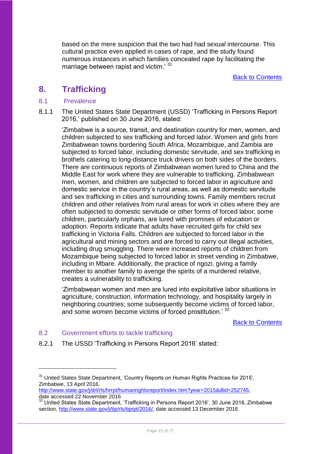based on the mere suspicion that the two had had sexual intercourse. This cultural practice even applied in cases of rape, and the study found numerous instances in which families concealed rape by facilitating the marriage between rapist and victim.<sup>31</sup>

Back [to Contents](#page-25-0)

## <span id="page-22-0"></span>**8. Trafficking**

## <span id="page-22-1"></span>8.1 Prevalence

8.1.1 The United States State Department (USSD) 'Trafficking in Persons Report 2016,' published on 30 June 2016, stated:

'Zimbabwe is a source, transit, and destination country for men, women, and children subjected to sex trafficking and forced labor. Women and girls from Zimbabwean towns bordering South Africa, Mozambique, and Zambia are subjected to forced labor, including domestic servitude, and sex trafficking in brothels catering to long-distance truck drivers on both sides of the borders. There are continuous reports of Zimbabwean women lured to China and the Middle East for work where they are vulnerable to trafficking. Zimbabwean men, women, and children are subjected to forced labor in agriculture and domestic service in the country's rural areas, as well as domestic servitude and sex trafficking in cities and surrounding towns. Family members recruit children and other relatives from rural areas for work in cities where they are often subjected to domestic servitude or other forms of forced labor; some children, particularly orphans, are lured with promises of education or adoption. Reports indicate that adults have recruited girls for child sex trafficking in Victoria Falls. Children are subjected to forced labor in the agricultural and mining sectors and are forced to carry out illegal activities, including drug smuggling. There were increased reports of children from Mozambique being subjected to forced labor in street vending in Zimbabwe, including in Mbare. Additionally, the practice of ngozi, giving a family member to another family to avenge the spirits of a murdered relative, creates a vulnerability to trafficking.

'Zimbabwean women and men are lured into exploitative labor situations in agriculture, construction, information technology, and hospitality largely in neighboring countries; some subsequently become victims of forced labor, and some women become victims of forced prostitution.<sup>32</sup>

[Back to Contents](#page-25-0)

## <span id="page-22-2"></span>8.2 Government efforts to tackle trafficking

1

8.2.1 The USSD 'Trafficking in Persons Report 2016' stated:

[http://www.state.gov/j/drl/rls/hrrpt/humanrightsreport/index.htm?year=2015&dlid=252745,](http://www.state.gov/j/drl/rls/hrrpt/humanrightsreport/index.htm?year=2015&dlid=252745) date accessed 22 November 2016

<sup>&</sup>lt;sup>31</sup> United States State Department, 'Country Reports on Human Rights Practices for 2015'. Zimbabwe, 13 April 2016,

<sup>32</sup> United States State Department, 'Trafficking in Persons Report 2016', 30 June 2016, Zimbabwe section, [http://www.state.gov/j/tip/rls/tiprpt/2016/,](http://www.state.gov/j/tip/rls/tiprpt/2016/) date accessed 13 December 2016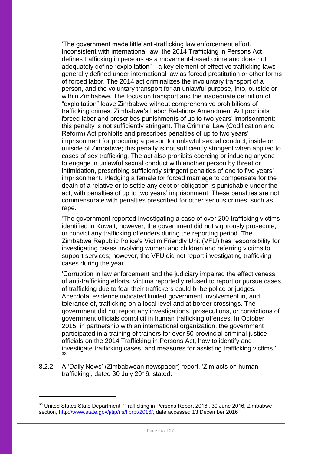'The government made little anti-trafficking law enforcement effort. Inconsistent with international law, the 2014 Trafficking in Persons Act defines trafficking in persons as a movement-based crime and does not adequately define "exploitation"—a key element of effective trafficking laws generally defined under international law as forced prostitution or other forms of forced labor. The 2014 act criminalizes the involuntary transport of a person, and the voluntary transport for an unlawful purpose, into, outside or within Zimbabwe. The focus on transport and the inadequate definition of "exploitation" leave Zimbabwe without comprehensive prohibitions of trafficking crimes. Zimbabwe's Labor Relations Amendment Act prohibits forced labor and prescribes punishments of up to two years' imprisonment; this penalty is not sufficiently stringent. The Criminal Law (Codification and Reform) Act prohibits and prescribes penalties of up to two years' imprisonment for procuring a person for unlawful sexual conduct, inside or outside of Zimbabwe; this penalty is not sufficiently stringent when applied to cases of sex trafficking. The act also prohibits coercing or inducing anyone to engage in unlawful sexual conduct with another person by threat or intimidation, prescribing sufficiently stringent penalties of one to five years' imprisonment. Pledging a female for forced marriage to compensate for the death of a relative or to settle any debt or obligation is punishable under the act, with penalties of up to two years' imprisonment. These penalties are not commensurate with penalties prescribed for other serious crimes, such as rape.

'The government reported investigating a case of over 200 trafficking victims identified in Kuwait; however, the government did not vigorously prosecute, or convict any trafficking offenders during the reporting period. The Zimbabwe Republic Police's Victim Friendly Unit (VFU) has responsibility for investigating cases involving women and children and referring victims to support services; however, the VFU did not report investigating trafficking cases during the year.

'Corruption in law enforcement and the judiciary impaired the effectiveness of anti-trafficking efforts. Victims reportedly refused to report or pursue cases of trafficking due to fear their traffickers could bribe police or judges. Anecdotal evidence indicated limited government involvement in, and tolerance of, trafficking on a local level and at border crossings. The government did not report any investigations, prosecutions, or convictions of government officials complicit in human trafficking offenses. In October 2015, in partnership with an international organization, the government participated in a training of trainers for over 50 provincial criminal justice officials on the 2014 Trafficking in Persons Act, how to identify and investigate trafficking cases, and measures for assisting trafficking victims.' 33

8.2.2 A 'Daily News' (Zimbabwean newspaper) report, 'Zim acts on human trafficking', dated 30 July 2016, stated:

<sup>&</sup>lt;sup>33</sup> United States State Department, 'Trafficking in Persons Report 2016', 30 June 2016, Zimbabwe section, [http://www.state.gov/j/tip/rls/tiprpt/2016/,](http://www.state.gov/j/tip/rls/tiprpt/2016/) date accessed 13 December 2016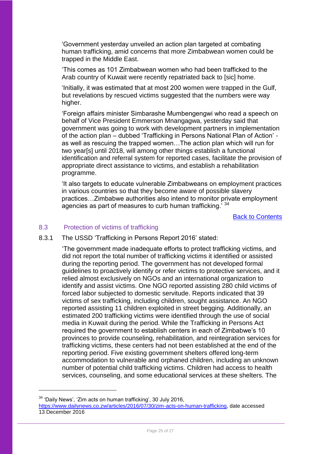'Government yesterday unveiled an action plan targeted at combating human trafficking, amid concerns that more Zimbabwean women could be trapped in the Middle East.

'This comes as 101 Zimbabwean women who had been trafficked to the Arab country of Kuwait were recently repatriated back to [sic] home.

'Initially, it was estimated that at most 200 women were trapped in the Gulf, but revelations by rescued victims suggested that the numbers were way higher.

'Foreign affairs minister Simbarashe Mumbengengwi who read a speech on behalf of Vice President Emmerson Mnangagwa, yesterday said that government was going to work with development partners in implementation of the action plan – dubbed 'Trafficking in Persons National Plan of Action' as well as rescuing the trapped women…The action plan which will run for two year[s] until 2018, will among other things establish a functional identification and referral system for reported cases, facilitate the provision of appropriate direct assistance to victims, and establish a rehabilitation programme.

'It also targets to educate vulnerable Zimbabweans on employment practices in various countries so that they become aware of possible slavery practices…Zimbabwe authorities also intend to monitor private employment agencies as part of measures to curb human trafficking.<sup>734</sup>

[Back to Contents](#page-25-0)

#### 8.3 Protection of victims of trafficking

8.3.1 The USSD 'Trafficking in Persons Report 2016' stated:

<span id="page-24-0"></span>'The government made inadequate efforts to protect trafficking victims, and did not report the total number of trafficking victims it identified or assisted during the reporting period. The government has not developed formal guidelines to proactively identify or refer victims to protective services, and it relied almost exclusively on NGOs and an international organization to identify and assist victims. One NGO reported assisting 280 child victims of forced labor subjected to domestic servitude. Reports indicated that 39 victims of sex trafficking, including children, sought assistance. An NGO reported assisting 11 children exploited in street begging. Additionally, an estimated 200 trafficking victims were identified through the use of social media in Kuwait during the period. While the Trafficking in Persons Act required the government to establish centers in each of Zimbabwe's 10 provinces to provide counseling, rehabilitation, and reintegration services for trafficking victims, these centers had not been established at the end of the reporting period. Five existing government shelters offered long-term accommodation to vulnerable and orphaned children, including an unknown number of potential child trafficking victims. Children had access to health services, counseling, and some educational services at these shelters. The

<sup>34</sup> 'Daily News', 'Zim acts on human trafficking', 30 July 2016,

[https://www.dailynews.co.zw/articles/2016/07/30/zim-acts-on-human-trafficking,](https://www.dailynews.co.zw/articles/2016/07/30/zim-acts-on-human-trafficking) date accessed 13 December 2016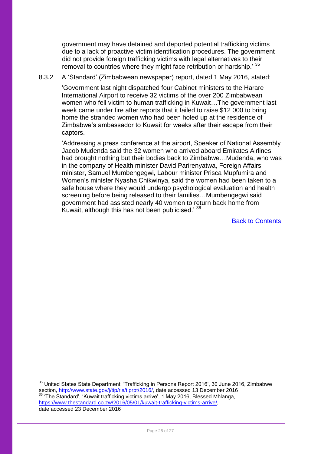government may have detained and deported potential trafficking victims due to a lack of proactive victim identification procedures. The government did not provide foreign trafficking victims with legal alternatives to their removal to countries where they might face retribution or hardship.' 35

### 8.3.2 A 'Standard' (Zimbabwean newspaper) report, dated 1 May 2016, stated:

'Government last night dispatched four Cabinet ministers to the Harare International Airport to receive 32 victims of the over 200 Zimbabwean women who fell victim to human trafficking in Kuwait…The government last week came under fire after reports that it failed to raise \$12 000 to bring home the stranded women who had been holed up at the residence of Zimbabwe's ambassador to Kuwait for weeks after their escape from their captors.

<span id="page-25-0"></span>'Addressing a press conference at the airport, Speaker of National Assembly Jacob Mudenda said the 32 women who arrived aboard Emirates Airlines had brought nothing but their bodies back to Zimbabwe…Mudenda, who was in the company of Health minister David Parirenyatwa, Foreign Affairs minister, Samuel Mumbengegwi, Labour minister Prisca Mupfumira and Women's minister Nyasha Chikwinya, said the women had been taken to a safe house where they would undergo psychological evaluation and health screening before being released to their families…Mumbengegwi said government had assisted nearly 40 women to return back home from Kuwait, although this has not been publicised.' <sup>36</sup>

[Back to Contents](#page-25-0)

<sup>&</sup>lt;sup>35</sup> United States State Department, 'Trafficking in Persons Report 2016', 30 June 2016, Zimbabwe section, [http://www.state.gov/j/tip/rls/tiprpt/2016/,](http://www.state.gov/j/tip/rls/tiprpt/2016/) date accessed 13 December 2016 <sup>36</sup> 'The Standard', 'Kuwait trafficking victims arrive', 1 May 2016, Blessed Mhlanga, [https://www.thestandard.co.zw/2016/05/01/kuwait-trafficking-victims-arrive/,](https://www.thestandard.co.zw/2016/05/01/kuwait-trafficking-victims-arrive/) date accessed 23 December 2016